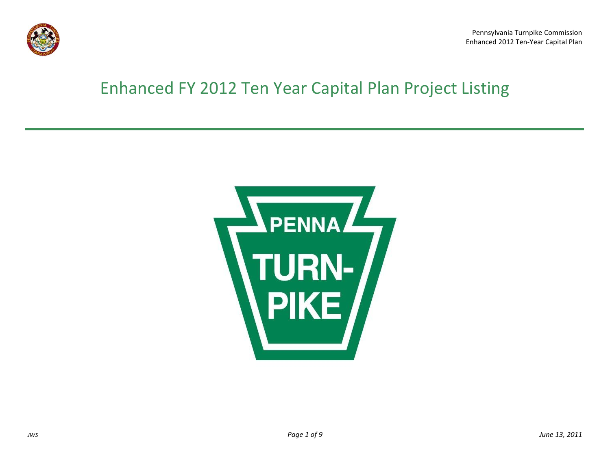

## Enhanced FY 2012 Ten Year Capital Plan Project Listing

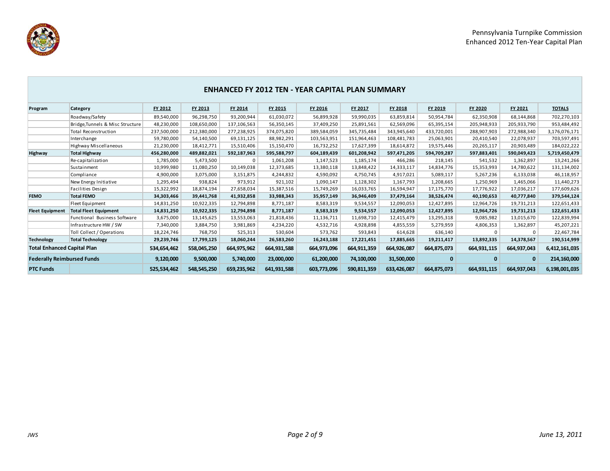

|                                    |                                  |             |             |             |             | <b>ENHANCED FY 2012 TEN - YEAR CAPITAL PLAN SUMMARY</b> |             |             |              |             |              |               |
|------------------------------------|----------------------------------|-------------|-------------|-------------|-------------|---------------------------------------------------------|-------------|-------------|--------------|-------------|--------------|---------------|
| Program                            | Category                         | FY 2012     | FY 2013     | FY 2014     | FY 2015     | FY 2016                                                 | FY 2017     | FY 2018     | FY 2019      | FY 2020     | FY 2021      | <b>TOTALS</b> |
|                                    | Roadway/Safety                   | 89,540,000  | 96,298,750  | 93,200,944  | 61,030,072  | 56,899,928                                              | 59,990,035  | 63,859,814  | 50,954,784   | 62,350,908  | 68,144,868   | 702,270,103   |
|                                    | Bridge, Tunnels & Misc Structure | 48,230,000  | 108,650,000 | 137,106,563 | 56,350,145  | 37,409,250                                              | 25,891,561  | 62,569,096  | 65,395,154   | 205,948,933 | 205,933,790  | 953,484,492   |
|                                    | <b>Total Reconstruction</b>      | 237,500,000 | 212,380,000 | 277,238,925 | 374,075,820 | 389,584,059                                             | 345,735,484 | 343,945,640 | 433,720,001  | 288,907,903 | 272,988,340  | 3,176,076,171 |
|                                    | Interchange                      | 59,780,000  | 54,140,500  | 69,131,125  | 88,982,291  | 103,563,951                                             | 151,964,463 | 108,481,783 | 25,063,901   | 20,410,540  | 22,078,937   | 703,597,491   |
|                                    | <b>Highway Miscellaneous</b>     | 21,230,000  | 18,412,771  | 15,510,406  | 15,150,470  | 16,732,252                                              | 17,627,399  | 18,614,872  | 19,575,446   | 20,265,117  | 20,903,489   | 184,022,222   |
| Highway                            | <b>Total Highway</b>             | 456,280,000 | 489,882,021 | 592,187,963 | 595,588,797 | 604,189,439                                             | 601,208,942 | 597,471,205 | 594,709,287  | 597,883,401 | 590,049,423  | 5,719,450,479 |
|                                    | Re-capitalization                | 1,785,000   | 5,473,500   | $\Omega$    | 1,061,208   | 1,147,523                                               | 1,185,174   | 466,286     | 218,145      | 541,532     | 1,362,897    | 13,241,266    |
|                                    | Sustainment                      | 10,999,980  | 11,080,250  | 10,149,038  | 12,373,685  | 13,380,118                                              | 13,848,422  | 14,333,117  | 14,834,776   | 15,353,993  | 14,780,622   | 131,134,002   |
|                                    | Compliance                       | 4,900,000   | 3,075,000   | 3,151,875   | 4,244,832   | 4,590,092                                               | 4,750,745   | 4,917,021   | 5,089,117    | 5,267,236   | 6,133,038    | 46,118,957    |
|                                    | New Energy Initiative            | 1,295,494   | 938,824     | 973,912     | 921,102     | 1,090,147                                               | 1,128,302   | 1,167,793   | 1,208,665    | 1,250,969   | 1,465,066    | 11,440,273    |
|                                    | Facilities Design                | 15,322,992  | 18,874,194  | 27,658,034  | 15,387,516  | 15,749,269                                              | 16,033,765  | 16,594,947  | 17,175,770   | 17,776,922  | 17,036,217   | 177,609,626   |
| <b>FEMO</b>                        | <b>Total FEMO</b>                | 34,303,466  | 39,441,768  | 41,932,858  | 33,988,343  | 35,957,149                                              | 36,946,409  | 37,479,164  | 38,526,474   | 40,190,653  | 40,777,840   | 379,544,124   |
|                                    | Fleet Equipment                  | 14,831,250  | 10,922,335  | 12,794,898  | 8,771,187   | 8,583,319                                               | 9,534,557   | 12,090,053  | 12,427,895   | 12,964,726  | 19,731,213   | 122,651,433   |
| <b>Fleet Equipment</b>             | <b>Total Fleet Equipment</b>     | 14,831,250  | 10,922,335  | 12,794,898  | 8,771,187   | 8,583,319                                               | 9,534,557   | 12,090,053  | 12,427,895   | 12,964,726  | 19,731,213   | 122,651,433   |
|                                    | Functional Business Software     | 3,675,000   | 13,145,625  | 13,553,063  | 21,818,436  | 11,136,711                                              | 11,698,710  | 12,415,479  | 13,295,318   | 9,085,982   | 13,015,670   | 122,839,994   |
|                                    | Infrastructure HW / SW           | 7,340,000   | 3,884,750   | 3,981,869   | 4,234,220   | 4,532,716                                               | 4,928,898   | 4,855,559   | 5,279,959    | 4,806,353   | 1,362,897    | 45,207,221    |
|                                    | Toll Collect / Operations        | 18,224,746  | 768,750     | 525,313     | 530,604     | 573,762                                                 | 593,843     | 614,628     | 636,140      | 0           | $\mathbf 0$  | 22,467,784    |
| <b>Technology</b>                  | <b>Total Technology</b>          | 29,239,746  | 17,799,125  | 18,060,244  | 26,583,260  | 16,243,188                                              | 17,221,451  | 17,885,665  | 19,211,417   | 13,892,335  | 14,378,567   | 190,514,999   |
| <b>Total Enhanced Capital Plan</b> |                                  | 534,654,462 | 558,045,250 | 664,975,962 | 664,931,588 | 664,973,096                                             | 664,911,359 | 664,926,087 | 664,875,073  | 664,931,115 | 664,937,043  | 6,412,161,035 |
| <b>Federally Reimbursed Funds</b>  |                                  | 9,120,000   | 9,500,000   | 5,740,000   | 23,000,000  | 61,200,000                                              | 74,100,000  | 31,500,000  | $\mathbf{0}$ | 0           | $\mathbf{0}$ | 214,160,000   |
| <b>PTC Funds</b>                   |                                  | 525,534,462 | 548,545,250 | 659,235,962 | 641,931,588 | 603,773,096                                             | 590,811,359 | 633,426,087 | 664,875,073  | 664,931,115 | 664,937,043  | 6,198,001,035 |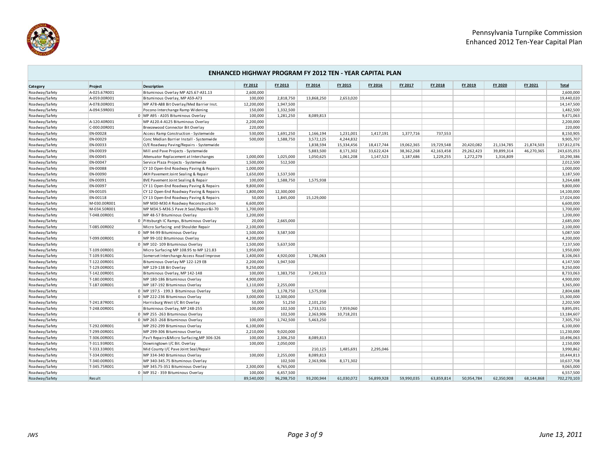

|                | <b>ENHANCED HIGHWAY PROGRAM FY 2012 TEN - YEAR CAPITAL PLAN</b> |                                           |            |            |            |            |            |            |            |            |            |            |              |
|----------------|-----------------------------------------------------------------|-------------------------------------------|------------|------------|------------|------------|------------|------------|------------|------------|------------|------------|--------------|
| Category       | Project                                                         | <b>Description</b>                        | FY 2012    | FY 2013    | FY 2014    | FY 2015    | FY 2016    | FY 2017    | FY 2018    | FY 2019    | FY 2020    | FY 2021    | <b>Total</b> |
| Roadway/Safety | A-025.67R001                                                    | Bituminous Overlay MP A25.67-A31.13       | 2,600,000  |            |            |            |            |            |            |            |            |            | 2,600,000    |
| Roadway/Safety | A-059.00R001                                                    | Bituminous Overlay, MP A59-A73            | 100,000    | 2,818,750  | 13,868,250 | 2,653,020  |            |            |            |            |            |            | 19,440,020   |
| Roadway/Safety | A-078.00R001                                                    | MP A78-A88 Bit Overlay/Med Barrier Inst.  | 12,200,000 | 1,947,500  |            |            |            |            |            |            |            |            | 14,147,500   |
| Roadway/Safety | A-094.59R001                                                    | Pocono Interchange Ramp Widening          | 150,000    | 1,332,500  |            |            |            |            |            |            |            |            | 1,482,500    |
| Roadway/Safety |                                                                 | 0 MP A95 - A105 Bituminous Overlay        | 100,000    | 1,281,250  | 8,089,813  |            |            |            |            |            |            |            | 9,471,063    |
| Roadway/Safety | A-120.40R001                                                    | MP A120.4-A125 Bituminous Overlay         | 2,200,000  |            |            |            |            |            |            |            |            |            | 2,200,000    |
| Roadway/Safety | C-000.00R001                                                    | Breezewood Connector Bit Overlay          | 220,000    |            |            |            |            |            |            |            |            |            | 220,000      |
| Roadway/Safety | EN-00028                                                        | Access Ramp Construction - Systemwide     | 530,000    | 1,691,250  | 1,166,194  | 1,231,001  | 1,417,191  | 1,377,716  | 737,553    |            |            |            | 8,150,905    |
| Roadway/Safety | EN-00029                                                        | Conc Median Barrier Install - Systemwide  | 500,000    | 1,588,750  | 3,572,125  | 4,244,832  |            |            |            |            |            |            | 9,905,707    |
| Roadway/Safety | EN-00033                                                        | O/E Roadway Paving/Repairs - Systemwide   |            |            | 1,838,594  | 15,334,456 | 18,417,744 | 19,062,365 | 19,729,548 | 20,420,082 | 21,134,785 | 21,874,503 | 137,812,076  |
| Roadway/Safety | EN-00039                                                        | Mill and Pave Projects - Systemwide       |            |            | 5,883,500  | 8,171,302  | 33,622,424 | 38,362,268 | 42,163,458 | 29,262,423 | 39,899,314 | 46,270,365 | 243,635,053  |
| Roadway/Safety | EN-00045                                                        | Attenuator Replacement at Interchanges    | 1,000,000  | 1,025,000  | 1,050,625  | 1,061,208  | 1,147,523  | 1,187,686  | 1,229,255  | 1,272,279  | 1,316,809  |            | 10,290,386   |
| Roadway/Safety | EN-00047                                                        | Service Plaza Projects - Systemwide       | 1,500,000  | 512,500    |            |            |            |            |            |            |            |            | 2,012,500    |
| Roadway/Safety | EN-00088                                                        | CY 10 Open-End Roadway Paving & Repairs   | 1,000,000  |            |            |            |            |            |            |            |            |            | 1,000,000    |
| Roadway/Safety | EN-00090                                                        | AKH Pavement Joint Sealing & Repair       | 1,650,000  | 1,537,500  |            |            |            |            |            |            |            |            | 3,187,500    |
| Roadway/Safety | EN-00091                                                        | BVE Pavement Joint Sealing & Repair       | 100,000    | 1,588,750  | 1,575,938  |            |            |            |            |            |            |            | 3,264,688    |
| Roadway/Safety | EN-00097                                                        | CY 11 Open-End Roadway Paving & Repairs   | 9,800,000  |            |            |            |            |            |            |            |            |            | 9,800,000    |
| Roadway/Safety | EN-00105                                                        | CY 12 Open-End Roadway Paving & Repairs   | 1,800,000  | 12,300,000 |            |            |            |            |            |            |            |            | 14,100,000   |
| Roadway/Safety | EN-00118                                                        | CY 13 Open-End Roadway Paving & Repairs   | 50,000     | 1,845,000  | 15,129,000 |            |            |            |            |            |            |            | 17,024,000   |
| Roadway/Safety | M-030.00R001                                                    | MP M30-M30.4 Roadway Reconstruction       | 6,600,000  |            |            |            |            |            |            |            |            |            | 6,600,000    |
| Roadway/Safety | M-034.50R001                                                    | MP M34.5-M36.5 Pave Jt Seal/Repair&I-70   | 1,700,000  |            |            |            |            |            |            |            |            |            | 1,700,000    |
| Roadway/Safety | T-048.00R001                                                    | MP 48-57 Bituminous Overlay               | 1,200,000  |            |            |            |            |            |            |            |            |            | 1,200,000    |
| Roadway/Safety |                                                                 | 0 Pittsburgh IC Ramps, Bituminous Overlay | 20,000     | 2,665,000  |            |            |            |            |            |            |            |            | 2,685,000    |
| Roadway/Safety | T-085.00R002                                                    | Micro Surfacing and Shoulder Repair       | 2,100,000  |            |            |            |            |            |            |            |            |            | 2,100,000    |
| Roadway/Safety |                                                                 | 0 MP 94-99 Bituminous Overlay             | 1,500,000  | 3,587,500  |            |            |            |            |            |            |            |            | 5,087,500    |
| Roadway/Safety | T-099.00R001                                                    | MP 99-102 Bituminous Overlay              | 4,200,000  |            |            |            |            |            |            |            |            |            | 4,200,000    |
| Roadway/Safety |                                                                 | 0 MP 102-109 Bituminous Overlay           | 1,500,000  | 5,637,500  |            |            |            |            |            |            |            |            | 7,137,500    |
| Roadway/Safety | T-109.00R001                                                    | Micro Surfacing MP 108.95 to MP 121.83    | 1,950,000  |            |            |            |            |            |            |            |            |            | 1,950,000    |
| Roadway/Safety | T-109.91R001                                                    | Somerset Interchange Access Road Improve  | 1,400,000  | 4,920,000  | 1,786,063  |            |            |            |            |            |            |            | 8,106,063    |
| Roadway/Safety | T-122.00R001                                                    | Bituminous Overlay MP 122-129 EB          | 2,200,000  | 1,947,500  |            |            |            |            |            |            |            |            | 4,147,500    |
| Roadway/Safety | T-129.00R001                                                    | MP 129-138 Bit Overlay                    | 9,250,000  |            |            |            |            |            |            |            |            |            | 9,250,000    |
| Roadway/Safety | T-142.00R001                                                    | Bituminous Overlay, MP 142-148            | 100,000    | 1,383,750  | 7,249,313  |            |            |            |            |            |            |            | 8,733,063    |
| Roadway/Safety | T-180.00R001                                                    | MP 180-186 Bituminous Overlay             | 4,900,000  |            |            |            |            |            |            |            |            |            | 4,900,000    |
| Roadway/Safety | T-187.00R001                                                    | MP 187-192 Bituminous Overlay             | 1,110,000  | 2,255,000  |            |            |            |            |            |            |            |            | 3,365,000    |
| Roadway/Safety |                                                                 | 0 MP 197.5 - 199.3 Bituminous Overlay     | 50,000     | 1,178,750  | 1,575,938  |            |            |            |            |            |            |            | 2,804,688    |
| Roadway/Safety |                                                                 | 0 MP 222-236 Bituminous Overlay           | 3,000,000  | 12,300,000 |            |            |            |            |            |            |            |            | 15,300,000   |
| Roadway/Safety | T-241.87R001                                                    | Harrisburg West I/C Bit Overlay           | 50,000     | 51,250     | 2,101,250  |            |            |            |            |            |            |            | 2,202,500    |
| Roadway/Safety | T-248.00R001                                                    | Bituminous Overlay, MP 248-255            | 100,000    | 102,500    | 1,733,531  | 7,959,060  |            |            |            |            |            |            | 9,895,091    |
| Roadway/Safety |                                                                 | 0 MP 255 - 263 Bituminous Overlay         |            | 102,500    | 2,363,906  | 10,718,201 |            |            |            |            |            |            | 13,184,607   |
| Roadway/Safety |                                                                 | 0 MP 263 - 268 Bituminous Overlay         | 100,000    | 1,742,500  | 5,463,250  |            |            |            |            |            |            |            | 7,305,750    |
| Roadway/Safety | T-292.00R001                                                    | MP 292-299 Bituminous Overlay             | 6,100,000  |            |            |            |            |            |            |            |            |            | 6,100,000    |
| Roadway/Safety | T-299.00R001                                                    | MP 299-306 Bituminous Overlay             | 2,210,000  | 9,020,000  |            |            |            |            |            |            |            |            | 11,230,000   |
| Roadway/Safety | T-306.00R001                                                    | Pav't Repairs&Micro Surfacing, MP 306-326 | 100,000    | 2,306,250  | 8,089,813  |            |            |            |            |            |            |            | 10,496,063   |
| Roadway/Safety | T-311.93R001                                                    | Downingtown I/C Bit. Overlay              | 100,000    | 2,050,000  |            |            |            |            |            |            |            |            | 2,150,000    |
| Roadway/Safety | T-333.33R001                                                    | Mid County I/C Pave Joint Seal/Repair     |            |            | 210,125    | 1,485,691  | 2,295,046  |            |            |            |            |            | 3,990,862    |
| Roadway/Safety | T-334.00R001                                                    | MP 334-340 Bituminous Overlay             | 100,000    | 2,255,000  | 8,089,813  |            |            |            |            |            |            |            | 10,444,813   |
| Roadway/Safety | T-340.00R001                                                    | MP 340-345.75 Bituminous Overlay          |            | 102,500    | 2,363,906  | 8,171,302  |            |            |            |            |            |            | 10,637,708   |
| Roadway/Safety | T-345.75R001                                                    | MP 345.75-351 Bituminous Overlay          | 2,300,000  | 6,765,000  |            |            |            |            |            |            |            |            | 9,065,000    |
| Roadway/Safety |                                                                 | 0 MP 352 - 359 Bituminous Overlay         | 100,000    | 6,457,500  |            |            |            |            |            |            |            |            | 6,557,500    |
| Roadway/Safety | Result                                                          |                                           | 89,540,000 | 96,298,750 | 93,200,944 | 61,030,072 | 56,899,928 | 59,990,035 | 63,859,814 | 50,954,784 | 62,350,908 | 68,144,868 | 702,270,103  |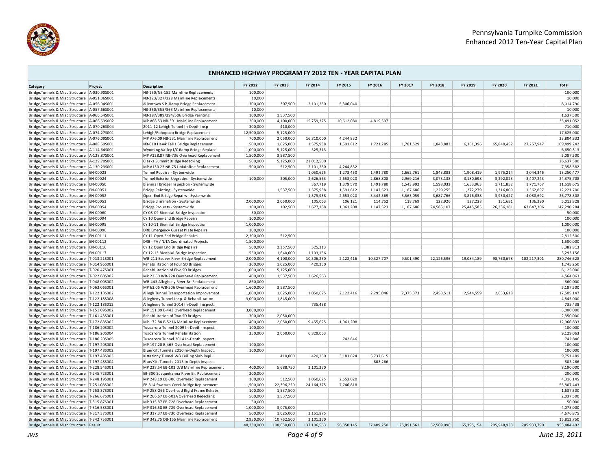

| <b>ENHANCED HIGHWAY PROGRAM FY 2012 TEN - YEAR CAPITAL PLAN</b>                                    |          |                                                                                   |                      |             |             |            |                      |            |            |            |             |             |                         |
|----------------------------------------------------------------------------------------------------|----------|-----------------------------------------------------------------------------------|----------------------|-------------|-------------|------------|----------------------|------------|------------|------------|-------------|-------------|-------------------------|
| Category                                                                                           | Project  | <b>Description</b>                                                                | FY 2012              | FY 2013     | FY 2014     | FY 2015    | FY 2016              | FY 2017    | FY 2018    | FY 2019    | FY 2020     | FY 2021     | <b>Total</b>            |
| Bridge, Tunnels & Misc Structure   A-030.905001                                                    |          | NB-150/NB-152 Mainline Replacements                                               | 100,000              |             |             |            |                      |            |            |            |             |             | 100,000                 |
| Bridge, Tunnels & Misc Structure A-051.365001                                                      |          | NB-323/327/328 Mainline Replacements                                              | 10,000               |             |             |            |                      |            |            |            |             |             | 10,000                  |
| Bridge, Tunnels & Misc Structure   A-056.04S001                                                    |          | Allentown S.P. Ramp Bridge Replacement                                            | 300,000              | 307,500     | 2,101,250   | 5,306,040  |                      |            |            |            |             |             | 8,014,790               |
| Bridge, Tunnels & Misc Structure   A-057.66S001                                                    |          | NB-350/355/363 Mainline Replacements                                              | 10,000               |             |             |            |                      |            |            |            |             |             | 10,000                  |
| Bridge, Tunnels & Misc Structure A-066.54S001                                                      |          | NB-387/389/394/506 Bridge Painting                                                | 100,000              | 1,537,500   |             |            |                      |            |            |            |             |             | 1,637,500               |
| Bridge, Tunnels & Misc Structure   A-068.535002                                                    |          | MP A68.53 NB-391 Mainline Replacement                                             | 200,000              | 4,100,000   | 15,759,375  | 10,612,080 | 4,819,597            |            |            |            |             |             | 35,491,052              |
| Bridge, Tunnels & Misc Structure A-070.265004                                                      |          | 2011-12 Lehigh Tunnel In-Depth Insp                                               | 300,000              | 410,000     |             |            |                      |            |            |            |             |             | 710,000                 |
| Bridge, Tunnels & Misc Structure   A-074.275001                                                    |          | Lehigh/Pohopoco Bridge Replacement                                                | 12,500,000           | 5,125,000   |             |            |                      |            |            |            |             |             | 17,625,000              |
| Bridge, Tunnels & Misc Structure   A-076.09S001                                                    |          | MP A76.09 NB-531 Mainline Replacement                                             | 700,000              | 2,050,000   | 16,810,000  | 4,244,832  |                      |            |            |            |             |             | 23,804,832              |
| Bridge, Tunnels & Misc Structure   A-088.595001                                                    |          | NB-610 Hawk Falls Bridge Replacement                                              | 500,000              | 1,025,000   | 1,575,938   | 1,591,812  | 1,721,285            | 1,781,529  | 1,843,883  | 6,361,396  | 65,840,452  | 27,257,947  | 109,499,242             |
| Bridge, Tunnels & Misc Structure   A-114.645001                                                    |          | Wyoming Valley I/C Ramp Bridge Replace                                            | 1,000,000            | 5,125,000   | 525,313     |            |                      |            |            |            |             |             | 6,650,313               |
| Bridge, Tunnels & Misc Structure   A-128.875001                                                    |          | MP A128.87 NB-736 Overhead Replacement                                            | 1,500,000            | 3,587,500   |             |            |                      |            |            |            |             |             | 5,087,500               |
| Bridge, Tunnels & Misc Structure   A-129.70S001                                                    |          | Clarks Summit Bridge Redecking                                                    | 500,000              | 5,125,000   | 21,012,500  |            |                      |            |            |            |             |             | 26,637,500              |
| Bridge, Tunnels & Misc Structure   A-130.235001                                                    |          | MP A130.23 NB-751 Mainline Replacement                                            | 500,000              | 512,500     | 2,101,250   | 4,244,832  |                      |            |            |            |             |             | 7,358,582               |
| Bridge, Tunnels & Misc Structure   EN-00023                                                        |          | Tunnel Repairs - Systemwide                                                       |                      |             | 1,050,625   | 1,273,450  | 1,491,780            | 1,662,761  | 1,843,883  | 1,908,419  | 1,975,214   | 2,044,346   | 13,250,477              |
| Bridge, Tunnels & Misc Structure   EN-00024                                                        |          | Tunnel Exterior Upgrades - Systemwide                                             | 100,000              | 205,000     | 2,626,563   | 2,653,020  | 2,868,808            | 2,969,216  | 3,073,138  | 3,180,698  | 3,292,023   | 3,407,243   | 24,375,708              |
| Bridge, Tunnels & Misc Structure EN-00050                                                          |          | Biennial Bridge Inspection - Systemwide                                           |                      |             | 367,719     | 1,379,570  | 1,491,780            | 1,543,992  | 1,598,032  | 1,653,963  | 1,711,852   | 1,771,767   | 11,518,675              |
| Bridge, Tunnels & Misc Structure   EN-00051                                                        |          | Bridge Painting - Systemwide                                                      |                      | 1,537,500   | 1,575,938   | 1,591,812  | 1,147,523            | 1,187,686  | 1,229,255  | 1,272,279  | 1,316,809   | 1,362,897   | 12,221,700              |
| Bridge, Tunnels & Misc Structure   EN-00052                                                        |          | Open-End Bridge Repairs - Systemwide                                              |                      |             | 1,575,938   | 2,653,020  | 3,442,569            | 3,563,059  | 3,687,766  | 3,816,838  | 3,950,427   | 4,088,692   | 26,778,308              |
| Bridge, Tunnels & Misc Structure   EN-00053                                                        |          | Bridge Elimination - Systemwide                                                   | 2,000,000            | 2,050,000   | 105,063     | 106,121    | 114,752              | 118,769    | 122,926    | 127,228    | 131,681     | 136,290     | 5,012,828               |
| Bridge, Tunnels & Misc Structure   EN-00054                                                        |          | Bridge Projects - Systemwide                                                      | 100,000              | 102,500     | 3,677,188   | 1,061,208  | 1,147,523            | 1,187,686  | 24,585,107 | 25,445,585 | 26,336,181  | 63,647,306  | 147,290,284             |
| Bridge, Tunnels & Misc Structure                                                                   | EN-00060 | CY 08-09 Biennial Bridge Inspection                                               | 50,000               |             |             |            |                      |            |            |            |             |             | 50,000                  |
| Bridge, Tunnels & Misc Structure   EN-00094                                                        |          | CY 10 Open-End Bridge Repairs                                                     | 100,000              |             |             |            |                      |            |            |            |             |             | 100,000                 |
| Bridge, Tunnels & Misc Structure   EN-00095                                                        |          | CY 10-11 Biennial Bridge Inspection                                               | 1,000,000            |             |             |            |                      |            |            |            |             |             | 1,000,000               |
| Bridge, Tunnels & Misc Structure EN-00096                                                          |          | DRB Emergency Gusset Plate Repairs                                                | 100,000              |             |             |            |                      |            |            |            |             |             | 100,000                 |
| Bridge, Tunnels & Misc Structure EN-00111                                                          |          | CY 11 Open-End Bridge Repairs                                                     | 2,300,000            | 512,500     |             |            |                      |            |            |            |             |             | 2,812,500               |
| Bridge, Tunnels & Misc Structure EN-00112                                                          |          | DRB - PA / NJTA Coordinated Projects                                              | 1,500,000            |             |             |            |                      |            |            |            |             |             | 1,500,000               |
| Bridge, Tunnels & Misc Structure   EN-00116                                                        |          | CY 12 Open End Bridge Repairs                                                     | 500,000              | 2,357,500   | 525,313     |            |                      |            |            |            |             |             | 3,382,813               |
| Bridge, Tunnels & Misc Structure   EN-00117                                                        |          | CY 12-13 Biennial Bridge Inspection                                               | 550,000              | 1,640,000   | 1,103,156   |            |                      |            |            |            |             |             | 3,293,156               |
| Bridge, Tunnels & Misc Structure   T-013.215001                                                    |          | WB-211 Beaver River Bridge Replacement                                            | 2,000,000            | 4,100,000   | 10,506,250  | 2,122,416  | 10,327,707           | 9,501,490  | 22,126,596 | 19,084,189 | 98,760,678  | 102,217,301 | 280,746,628             |
| Bridge, Tunnels & Misc Structure   T-014.965001                                                    |          | Rehabilitation of Four SD Bridges                                                 | 300,000              | 1,025,000   | 420.250     |            |                      |            |            |            |             |             | 1,745,250               |
| Bridge, Tunnels & Misc Structure   T-020.475001                                                    |          | Rehabilitation of Five SD Bridges                                                 | 1,000,000            | 5,125,000   |             |            |                      |            |            |            |             |             | 6,125,000               |
| Bridge, Tunnels & Misc Structure   T-022.60S002                                                    |          | MP 22.60 WB-228 Overhead Replacement                                              | 400,000              | 1,537,500   | 2,626,563   |            |                      |            |            |            |             |             | 4,564,063               |
| Bridge, Tunnels & Misc Structure   T-048.00S002                                                    |          | WB-443 Allegheny River Br. Replacement                                            | 860,000              |             |             |            |                      |            |            |            |             |             | 860,000                 |
| Bridge, Tunnels & Misc Structure   T-063.06S001                                                    |          | MP 63.06 WB-506 Overhead Replacement                                              | 1,600,000            | 3,587,500   |             |            |                      |            |            |            |             |             | 5,187,500               |
| Bridge, Tunnels & Misc Structure   T-122.185002                                                    |          | Allegh Tunnel Transportation Improvement                                          | 1,000,000            | 1,025,000   | 1,050,625   | 2,122,416  | 2.295.046            | 2,375,373  | 2,458,511  | 2.544.559  | 2,633,618   |             | 17,505,147              |
| Bridge, Tunnels & Misc Structure   T-122.185008                                                    |          | Allegheny Tunnel Insp. & Rehabilitation                                           | 3,000,000            | 1,845,000   |             |            |                      |            |            |            |             |             | 4,845,000               |
| Bridge, Tunnels & Misc Structure   T-122.185012                                                    |          | Allegheny Tunnel 2014 In-Depth Inspect                                            |                      |             | 735,438     |            |                      |            |            |            |             |             | 735,438                 |
| Bridge, Tunnels & Misc Structure   T-151.09S002                                                    |          | MP 151.09 B-443 Overhead Replacement                                              | 3,000,000            |             |             |            |                      |            |            |            |             |             | 3,000,000               |
| Bridge, Tunnels & Misc Structure   T-161.43S001                                                    |          | Rehabilitation of Two SD Bridges                                                  | 300,000              | 2,050,000   |             |            |                      |            |            |            |             |             | 2,350,000               |
| Bridge, Tunnels & Misc Structure   T-172.88S002                                                    |          | MP 172.88 B-521A Mainline Replacement                                             | 400,000              | 2,050,000   | 9,455,625   | 1,061,208  |                      |            |            |            |             |             | 12,966,833              |
| Bridge, Tunnels & Misc Structure   T-186.205002                                                    |          | Tuscarora Tunnel 2009 In-Depth Inspect.                                           | 100,000              |             |             |            |                      |            |            |            |             |             | 100,000                 |
| Bridge, Tunnels & Misc Structure   T-186.205004                                                    |          | Tuscarora Tunnel Rehabilitation                                                   | 250,000              | 2.050.000   | 6,829,063   |            |                      |            |            |            |             |             | 9,129,063               |
| Bridge, Tunnels & Misc Structure   T-186.20S005                                                    |          | Tuscarora Tunnel 2014 In-Depth Inspect.                                           |                      |             |             | 742,846    |                      |            |            |            |             |             | 742,846                 |
| Bridge, Tunnels & Misc Structure   T-197.20S001                                                    |          | MP 197.20 B-465 Overhead Replacement                                              | 100,000              |             |             |            |                      |            |            |            |             |             | 100,000                 |
| Bridge, Tunnels & Misc Structure   T-197.48S002                                                    |          | Blue/Kitt Tunnels 2010 In-Depth Inspect.                                          | 100,000              |             |             |            |                      |            |            |            |             |             | 100,000                 |
| Bridge, Tunnels & Misc Structure   T-197.48S003                                                    |          | Kittatinny Tunnel WB Ceiling Slab Repl.                                           |                      | 410,000     | 420,250     | 3,183,624  | 5,737,615<br>803,266 |            |            |            |             |             | 9,751,489               |
| Bridge, Tunnels & Misc Structure   T-197.48S004<br>Bridge, Tunnels & Misc Structure   T-228.545001 |          | Blue/Kitt Tunnels 2015 In-Depth Inspect.                                          | 400,000              |             |             |            |                      |            |            |            |             |             | 803,266<br>8,190,000    |
|                                                                                                    |          | MP 228.54 EB-103 D/B Mainline Replacement                                         | 200,000              | 5,688,750   | 2,101,250   |            |                      |            |            |            |             |             | 200,000                 |
| Bridge, Tunnels & Misc Structure   T-245.72S001<br>Bridge, Tunnels & Misc Structure   T-248.195001 |          | EB-300 Susquehanna River Br. Replacement                                          |                      | 512,500     | 1,050,625   |            |                      |            |            |            |             |             | 4,316,145               |
| Bridge, Tunnels & Misc Structure   T-251.085002                                                    |          | MP 248.19 EB-306 Overhead Replacement                                             | 100,000              | 22,396,250  | 24,164,375  | 2,653,020  |                      |            |            |            |             |             |                         |
| Bridge, Tunnels & Misc Structure   T-258.37S001                                                    |          | EB-314 Swatara Creek Bridge Replacement<br>MP 258-266 Overhead Rigid Frame Rehabs | 1,500,000<br>100,000 | 1,537,500   |             | 7,746,818  |                      |            |            |            |             |             | 55,807,443<br>1,637,500 |
| Bridge, Tunnels & Misc Structure   T-266.67S001                                                    |          | MP 266.67 EB-503A Overhead Redecking                                              | 500,000              | 1,537,500   |             |            |                      |            |            |            |             |             | 2,037,500               |
|                                                                                                    |          |                                                                                   | 50,000               |             |             |            |                      |            |            |            |             |             | 50,000                  |
| Bridge, Tunnels & Misc Structure   T-315.87S001<br>Bridge, Tunnels & Misc Structure   T-316.58S001 |          | MP 315.87 EB-728 Overhead Replacement<br>MP 316.58 EB-729 Overhead Replacement    | 1,000,000            | 3,075,000   |             |            |                      |            |            |            |             |             | 4,075,000               |
| Bridge, Tunnels & Misc Structure   T-317.375001                                                    |          | MP 317.37 EB-730 Overhead Replacement                                             | 500,000              | 1,025,000   | 3,151,875   |            |                      |            |            |            |             |             | 4,676,875               |
| Bridge, Tunnels & Misc Structure   T-342.755001                                                    |          | MP 342.75 DB-155 Mainline Replacement                                             | 2,950,000            | 10,762,500  | 2,101,250   |            |                      |            |            |            |             |             | 15,813,750              |
| Bridge, Tunnels & Misc Structure Result                                                            |          |                                                                                   | 48.230.000           | 108.650.000 | 137.106.563 | 56.350.145 | 37.409.250           | 25.891.561 | 62.569.096 | 65.395.154 | 205.948.933 | 205.933.790 | 953.484.492             |
|                                                                                                    |          |                                                                                   |                      |             |             |            |                      |            |            |            |             |             |                         |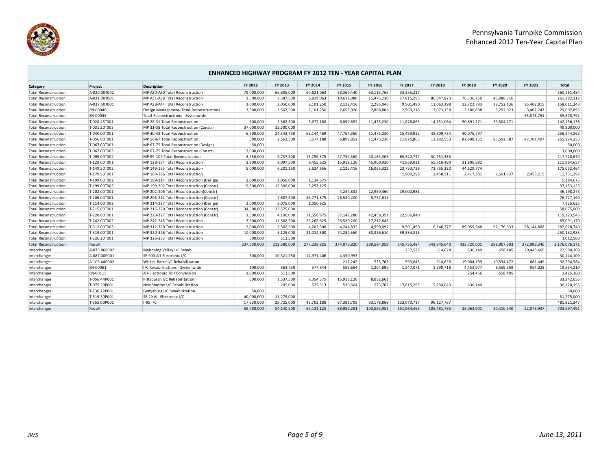

## **Category Project Description FY 2012 FY 2013 FY 2014 FY 2015 FY 2016 FY 2017 FY 2018 FY 2019 FY 2020 FY 2021 Total ENHANCED HIGHWAY PROGRAM FY 2012 TEN - YEAR CAPITAL PLAN** Total Reconstruction |A-020.00T002 |MP A20-A30 Total Reconstruction | 79,000,000 65,805,000 60,621,063 58,366,440 63,113,765 33,255,217 | | | | 360,161,484 360,161,484 Total Reconstruction A-031.00T001 MP A31-A38 Total Reconstruction 2,500,000 3,587,500 6,829,063 10,612,080 11,475,230 17,815,295 86,047,873 76,336,756 46,088,316 0 261,292,112 Total Reconstruction MP A38-A44 Total Reconstruction 1,000,000 2,050,000 2,101,250 2,122,416 2,295,046 9,501,490 11,063,298 12,722,793 19,752,136 95,402,815 158,011,243 Total Reconstruction EN-00040 Design Management -Total Reconstructions 3,500,000 2,562,500 2,101,250 2,653,020 2,868,808 2,969,216 3,073,138 3,180,698 3,292,023 3,407,243 29,607,896 Total Reconstruction EN-00048 Total Reconstructions - Systemwide 0 0 0 0 0 0 0 0 0 55,878,791 55,878,791 Total Reconstruction T-028.45T001 MP 28-31 Total Reconstruction 500,000 2,562,500 3,677,188 6,897,852 11,475,230 11,876,863 14,751,064 50,891,171 39,504,271 0 142,136,138 Total Reconstruction T-031.20T003 MP 31-38 Total Reconstruction (Constr) 37,000,000 12,300,000 0 0 0 0 0 0 0 0 49,300,000 Total Reconstruction T-040.00T001 MP 40-48 Total Reconstruction 6,700,000 24,343,750 62,144,469 47,754,360 11,475,230 15,439,922 48,309,734 40,076,797 0 0 256,244,262 Total Reconstruction MP 56-67 Total Reconstruction 500,000 2,562,500 3,677,188 6,897,852 11,475,230 11,876,863 12,292,553 82,698,152 85,592,587 47,701,407 265,274,333 Total Reconstruction T-067.00T001 MP 67-75 Total Reconstruction (Design) 50,000 0 0 0 0 0 0 0 0 0 50,000 Total Reconstruction T-067.00T003 MP 67-75 Total Reconstruction (Constr) 13,000,000 0 0 0 0 0 0 0 0 0 13,000,000 Total Reconstruction |T-099.00T002 | MP 99-109 Total Reconstruction | 8,250,000 9,737,500 15,759,375 47,754,360 40,163,305 65,322,747 30,731,383 | | | 217,718,670 Total Reconstruction T-129.00T001 MP 128-134 Total Reconstruction 3,900,000 8,097,500 9,455,625 15,918,120 45,900,920 41,569,021 55,316,490 31,806,982 0 0 211,964,657 Total Reconstruction T-149.50T002 MP 149-155 Total Reconstruction 5,000,000 6,201,250 3,624,656 2,122,416 16,065,322 23,753,726 73,755,320 44,529,774 0 0 175,052,464 Total Reconstruction 7-179.50T001 MP 180-186 Total Reconstruction 1 1,900,298 2,458,511 2,417,331 2,501,937 2,453,215 11,731,292 Total Reconstruction T-199.00T002 MP 199-214 Total Reconstruction (Design) 2,000,000 2,050,000 1,134,675 0 0 0 0 0 0 0 5,184,675 Total Reconstruction T-199.00T005 MP 199-202 Total Reconstruction (Constr) 19,600,000 12,300,000 5,253,125 0 0 0 0 0 0 0 37,153,125 Total Reconstruction 17-202.00T001 MP 202-206 Total Reconstruction(Constr) 4.244,832 2.2950.460 19,002,981 46.198.273 Total Reconstruction 7-206.00T001 MP 206-211 Total Reconstruction (Constr) 7,687,500 36,771,875 26,530,200 5,737,615 0 0 76,727,190 Total Reconstruction 17-214.00T002 MP 214-227 Total Reconstruction (Design) 3,000,000 3,075,000 1,050,625 New State Seconstruction 7,125,625 7,125,625 7,125,625 1,125,625 1,125,625 1,125,625 1,125,625 1,125,625 1,125,625 1 Total Reconstruction T-215.00T001 MP 215-220 Total Reconstruction (Constr) 34,500,000 23,575,000 0 0 0 0 0 0 0 0 58,075,000 Total Reconstruction T-220.00T001 MP 220-227 Total Reconstruction (Constr) 1,500,000 4,100,000 11,556,875 37,142,280 42,458,351 22,566,040 0 1 10 1,323,546 Total Reconstruction 7-242.00T002 MP 242-245 Total Reconstruction 3,500,000 11,582,500 26,265,625 26,530,200 17,212,845 0 0 85,091,170 Total Reconstruction T-312.00T003 MP 312-320 Total Reconstruction 2,000,000 2,562,500 4,202,500 4,244,832 4,590,092 9,501,490 6,146,277 89,059,548 92,176,633 68,144,868 282,628,740 Total Reconstruction MP 320-326 Total Reconstruction 10,000,000 5,125,000 21,012,500 74,284,560 80,326,510 59,384,315 250,132,985 Total Reconstruction |T-326.20T001 MP 326-333 Total Reconstruction | 500,000 512,500 | | | | | | | | | | | | | | | 1,012,500 Total Reconstruction Result 237,500,000 212,380,000 277,238,925 374,075,820 389,584,059 345,735,484 343,945,640 433,720,001 288,907,903 272,988,340 3,176,076,171 Interchanges A-075.86P002 Mahoning Valley I/C Rehab 0 0 0 0 0 237,537 614,628 636,140 658,405 20,443,460 22,590,169 Interchanges A-087.00P001 SR 903 All-Electronic I/C 500,000 10,321,750 14,971,406 4,350,953 0 0 0 0 0 0 30,144,109 Interchanges A-105.44P002 Wilkes-Barre I/C Rehabilitation 0 0 0 212,242 573,762 593,843 614,628 19,084,189 10,534,472 681,449 32,294,584 Interchanges EN-00061 I/C Rehabilitations - Systemwide 100,000 563,750 577,844 583,664 1,204,899 1,247,071 1,290,718 4,452,977 8,559,259 954,028 19,534,210 Interchanges EN-00115 All-Electronic Toll Conversion 1,000,000 512,500 0 0 0 0 0 254,456 658,405 0 2,425,360 Interchanges T-056.44P001 Pittsburgh I/C Rehabilitation 500,000 1,537,500 7,354,375 15,918,120 8,032,661 0 0 0 0 0 33,342,656 Interchanges New Stanton I/C Rehabilitation 205,000 525,313 53,604 573,762 17,815,295 9,834,043 636,140 30,120,155 Interchanges T-236.22P001 Gettysburg I/C Rehabilitation 50,000 0 0 0 0 0 0 0 0 0 50,000 Interchanges T-319.30P001 SR 29 All-Electronic I/C 40,000,000 11,275,000 0 0 0 0 0 0 0 0 51,275,000 Interchanges T-355.00P001 I-95 I/C 17,630,000 29,725,000 45,702,188 67,386,708 93,178,868 132,070,717 96,127,767 0 0 0 481,821,247 Interchanges Result 59,780,000 54,140,500 69,131,125 88,982,291 103,563,951 151,964,463 108,481,783 25,063,901 20,410,540 22,078,937 703,597,491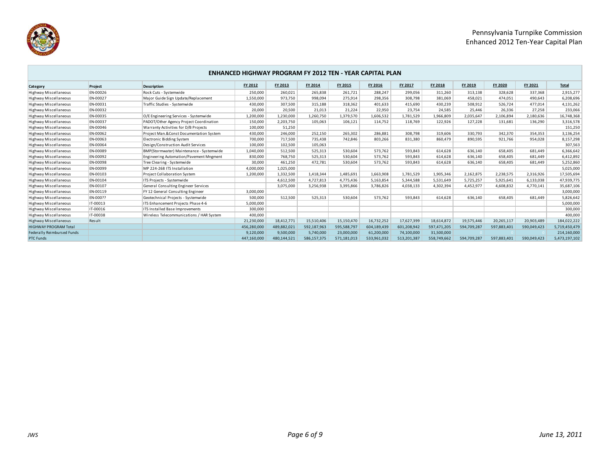



## **Category Project Description FY 2012 FY 2013 FY 2014 FY 2015 FY 2016 FY 2017 FY 2018 FY 2019 FY 2020 FY 2021 Total ENHANCED HIGHWAY PROGRAM FY 2012 TEN - YEAR CAPITAL PLAN** Highway Miscellaneous |EN-00026 |Rock Cuts - Systemwide 260,021 265,838 261,721 288,247 299,056 311,260 313,138 328,628 337,368 2,915,277 Highway Miscellaneous EN-00027 Major Guide Sign Update/Replacement 1,550,000 973,750 998,094 275,914 298,356 308,798 381,069 458,021 474,051 490,643 6,208,696 Highway Miscellaneous |EN-00031 | Traffic Studies - Systemwide | 430,000 | 307,500 | 315,188 | 318,362 | 401,633 | 415,690 | 430,239 | 508,912 | 526,724 477,014 4,131,262 Highway Miscellaneous EN-00032 20,000 20,500 21,013 21,224 22,950 23,754 24,585 25,446 26,336 27,258 233,066 Highway Miscellaneous EN-00035 O/E Engineering Services - Systemwide 1,200,000 1,230,000 1,260,750 1,379,570 1,606,532 1,781,529 1,966,809 2,035,647 2,106,894 2,180,636 16,748,368 Highway Miscellaneous EN-00037 PADOT/Other Agency Project Coordination 10.000 2,203,750 105,063 106,121 114,752 118,769 122,926 127,228 131,681 136,290 3,316,578 Highway Miscellaneous [EN-00046 | Warranty Activities for D/B Projects | 100,000 51,250 | | | | | | | | | | | | | | | | 151,250 Highway Miscellaneous EN-00062 Project Man.&Const Documentation System 430,000 246,000 252,150 265,302 286,881 308,798 319,606 330,793 342,370 354,353 3,136,254 Highway Miscellaneous EN-00063 Electronic Bidding System 700,000 717,500 735,438 742,846 803,266 831,380 860,479 890,595 921,766 954,028 8,157,298 Highway Miscellaneous EN-00064 Design/Construction Audit Services 100,000 102,500 105,063 0 0 0 0 0 0 0 307,563 Highway Miscellaneous EN-00089 BMP(Stormwater) Maintenance - Systemwide 1,040,000 512,500 525,313 530,604 573,762 593,843 614,628 636,140 658,405 681,449 6,366,642 Highway Miscellaneous EN-00092 Engineering Automation/Pavement Mngment 830,000 768,750 525,313 530,604 573,762 593,843 614,628 636,140 658,405 681,449 6,412,892 Highway Miscellaneous |EN-00098 | Tree Clearing - Systemwide | 30,000 461,250 472,781 530,604 573,762 593,843 614,628 636,140 658,405 681,449 5,252,860 Highway Miscellaneous EN-00099 MP 224-268 ITS Installation 4,000,000 1,025,000 0 0 0 0 0 0 0 0 5,025,000 Highway Miscellaneous EN-00103 Project Collaboration System 1,200,000 1,332,500 1,418,344 1,485,691 1,663,908 1,781,529 1,905,346 2,162,875 2,338,575 2,316,926 17,505,694 Highway Miscellaneous EN-00104 ITS Projects - Systemwide 0 4,612,500 4,727,813 4,775,436 5,163,854 5,344,588 5,531,649 5,725,257 5,925,641 6,133,038 47,939,775 Highway Miscellaneous EN-00107 General Consulting Engineer Services | 3,075,000 3,256,938 3,395,866 3,786,826 4,038,133 4,302,394 4,452,977 4,608,832 4,770,141 35,687,106 Highway Miscellaneous EN-00119 FY 12 General Consulting Engineer 3,000,000 0 0 0 0 0 0 0 0 0 3,000,000 Highway Miscellaneous EN-000?? Geotechnical Projects - Systemwide 500,000 512,500 525,313 530,604 573,762 593,843 614,628 636,140 658,405 681,449 5,826,642 Highway Miscellaneous IT-00013 ITS Enhancement Projects Phase 4-6 5,000,000 0 0 0 0 0 0 0 0 0 5,000,000 Highway Miscellaneous IT-00016 ITS Installed Base Improvements 300,000 0 0 0 0 0 0 0 0 0 300,000 Highway Miscellaneous IT-00038 Wireless Telecommunications / HAR System 400,000 0 0 0 0 0 0 0 0 0 400,000 Highway Miscellaneous Result 21,230,222 Result 21,230,200 18,412,771 15,510,406 15,150,470 16,732,252 17,627,399 18,614,872 19,575,446 20,265,117 20,903,489 184,022,222 HIGHWAY PROGRAM Total 456,280,000 489,882,021 592,187,963 595,588,797 604,189,439 601,208,942 597,471,205 594,709,287 597,883,401 590,049,423 5,719,450,479 Federally Reimbursed Funds 9,120,000 9,500,000 5,740,000 23,000,000 61,200,000 74,100,000 31,500,000 0 0 0 214,160,000 PTC Funds 447,160,000 480,144,521 586,157,375 571,181,013 533,961,032 513,201,387 558,749,662 594,709,287 597,883,401 590,049,423 5,473,197,102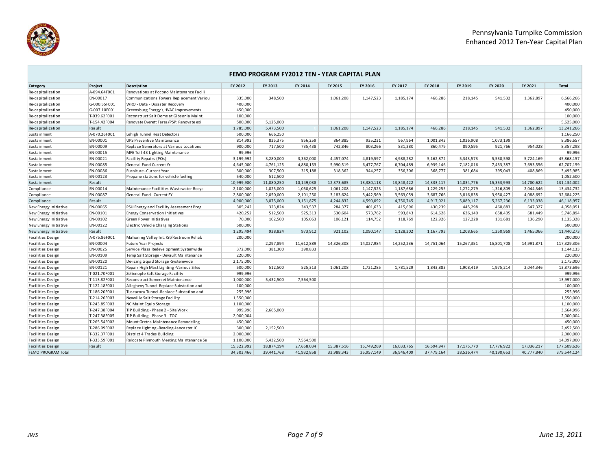

|                          | FEMO PROGRAM FY2012 TEN - YEAR CAPITAL PLAN |                                          |            |            |            |            |            |            |            |            |            |            |              |
|--------------------------|---------------------------------------------|------------------------------------------|------------|------------|------------|------------|------------|------------|------------|------------|------------|------------|--------------|
| Category                 | Project                                     | <b>Description</b>                       | FY 2012    | FY 2013    | FY 2014    | FY 2015    | FY 2016    | FY 2017    | FY 2018    | FY 2019    | FY 2020    | FY 2021    | <b>Total</b> |
| Re-capitalization        | A-094.64F001                                | Renovations at Pocono Maintenance Facili |            |            |            |            |            |            |            |            |            |            |              |
| Re-capitalization        | EN-00017                                    | Communications Towers Replacement Variou | 335,000    | 348.500    |            | 1,061,208  | 1,147,523  | 1,185,174  | 466,286    | 218.145    | 541,532    | 1,362,897  | 6,666,266    |
| Re-capitalization        | G-000.55F001                                | WRO - Data - Disaster Recovery           | 400,000    |            |            |            |            |            |            |            |            |            | 400,000      |
| Re-capitalization        | G-007.10F001                                | Greensburg Energy \ HVAC Improvements    | 450,000    |            |            |            |            |            |            |            |            |            | 450,000      |
| Re-capitalization        | T-039.62F001                                | Reconstruct Salt Dome at Gibsonia Maint. | 100,000    |            |            |            |            |            |            |            |            |            | 100,000      |
| Re-capitalization        | T-154.42F004                                | Renovate Everett Fares/PSP: Renovate exi | 500,000    | 5,125,000  |            |            |            |            |            |            |            |            | 5,625,000    |
| Re-capitalization        | Result                                      |                                          | 1,785,000  | 5,473,500  |            | 1,061,208  | 1,147,523  | 1,185,174  | 466,286    | 218.145    | 541,532    | 1,362,897  | 13,241,266   |
| Sustainment              | A-070.26F001                                | Lehigh Tunnel Heat Detectors             | 500,000    | 666,250    |            |            |            |            |            |            |            |            | 1,166,250    |
| Sustainment              | EN-00001                                    | <b>UPS Preventive Maintenance</b>        | 814,992    | 835,375    | 856,259    | 864,885    | 935,231    | 967,964    | 1,001,843  | 1,036,908  | 1,073,199  |            | 8,386,657    |
| Sustainment              | EN-00009                                    | Replace Generators at Various Locations  | 900,000    | 717.500    | 735.438    | 742,846    | 803,266    | 831,380    | 860.479    | 890.595    | 921,766    | 954,028    | 8,357,298    |
| Sustainment              | EN-00015                                    | MFE Toll 43 Lighting Maintenance         | 99,996     |            |            |            |            |            |            |            |            |            | 99,996       |
| Sustainment              | EN-00021                                    | Facility Repairs (POs)                   | 3,199,992  | 3,280,000  | 3,362,000  | 4,457,074  | 4,819,597  | 4,988,282  | 5,162,872  | 5,343,573  | 5,530,598  | 5,724,169  | 45,868,157   |
| Sustainment              | EN-00085                                    | General Fund Current Yr                  | 4,645,000  | 4,761,125  | 4,880,153  | 5,990,519  | 6,477,767  | 6,704,489  | 6,939,146  | 7,182,016  | 7,433,387  | 7,693,556  | 62,707,159   |
| Sustainment              | EN-00086                                    | Furniture--Current Year                  | 300,000    | 307,500    | 315,188    | 318,362    | 344,257    | 356,306    | 368,777    | 381,684    | 395,043    | 408,869    | 3,495,985    |
| Sustainment              | EN-00123                                    | Propane stations for vehicle fueling     | 540,000    | 512,500    |            |            |            |            |            |            |            |            | 1,052,500    |
| Sustainment              | Result                                      |                                          | 10,999,980 | 11,080,250 | 10,149,038 | 12,373,685 | 13,380,118 | 13,848,422 | 14,333,117 | 14,834,776 | 15,353,993 | 14,780,622 | 131,134,002  |
| Compliance               | EN-00014                                    | Maintenance Facilities Wastewater Recycl | 2,100,000  | 1,025,000  | 1,050,625  | 1,061,208  | 1,147,523  | 1,187,686  | 1,229,255  | 1,272,279  | 1,316,809  | 2,044,346  | 13,434,732   |
| Compliance               | EN-00087                                    | General Fund--Current FY                 | 2,800,000  | 2,050,000  | 2,101,250  | 3,183,624  | 3,442,569  | 3,563,059  | 3,687,766  | 3,816,838  | 3,950,427  | 4,088,692  | 32,684,225   |
| Compliance               | Result                                      |                                          | 4,900,000  | 3,075,000  | 3,151,875  | 4,244,832  | 4,590,092  | 4,750,745  | 4,917,021  | 5,089,117  | 5,267,236  | 6,133,038  | 46,118,957   |
| New Energy Initiative    | EN-00065                                    | PSU Energy and Facility Assessment Prog  | 305,242    | 323,824    | 343,537    | 284,377    | 401,633    | 415,690    | 430,239    | 445,298    | 460,883    | 647,327    | 4,058,051    |
| New Energy Initiative    | EN-00101                                    | <b>Energy Conservation Initiatives</b>   | 420,252    | 512,500    | 525,313    | 530,604    | 573,762    | 593,843    | 614,628    | 636,140    | 658,405    | 681,449    | 5,746,894    |
| New Energy Initiative    | EN-00102                                    | Green Power Initiatives                  | 70,000     | 102.500    | 105,063    | 106,121    | 114,752    | 118,769    | 122,926    | 127,228    | 131,681    | 136,290    | 1,135,328    |
| New Energy Initiative    | EN-00122                                    | Electric Vehicle Charging Stations       | 500,000    |            |            |            |            |            |            |            |            |            | 500,000      |
| New Energy Initiative    | Result                                      |                                          | 1,295,494  | 938,824    | 973,912    | 921,102    | 1,090,147  | 1,128,302  | 1,167,793  | 1,208,665  | 1,250,969  | 1,465,066  | 11,440,273   |
| Facilities Design        | A-075.86F001                                | Mahoning Valley Int. Kit/Restroom Rehab  | 200,000    |            |            |            |            |            |            |            |            |            | 200,000      |
| <b>Facilities Design</b> | EN-00004                                    | Future Year Projects                     |            | 2,297,894  | 11,612,889 | 14,326,308 | 14,027,984 | 14,252,236 | 14,751,064 | 15,267,351 | 15,801,708 | 14,991,871 | 117,329,306  |
| <b>Facilities Design</b> | EN-00025                                    | Service Plaza Redevelopment Systemwide   | 372,000    | 381.300    | 390.833    |            |            |            |            |            |            |            | 1,144,133    |
| Facilities Design        | EN-00109                                    | Temp Salt Storage - Devault Maintenance  | 220,000    |            |            |            |            |            |            |            |            |            | 220,000      |
| <b>Facilities Design</b> | EN-00120                                    | De-icing Liquid Storage -Systemwide      | 2,175,000  |            |            |            |            |            |            |            |            |            | 2,175,000    |
| <b>Facilities Design</b> | EN-00121                                    | Repair High Mast Lighting -Various Sites | 500,000    | 512,500    | 525.313    | 1.061.208  | 1,721,285  | 1,781,529  | 1,843,883  | 1,908,419  | 1,975,214  | 2,044,346  | 13,873,696   |
| Facilities Design        | T-021.70F001                                | Zelienople Salt Storage Facility         | 999,996    |            |            |            |            |            |            |            |            |            | 999,996      |
| <b>Facilities Design</b> | T-113.82F001                                | Reconstruct Somerset Maintenance         | 1,000,000  | 5,432,500  | 7,564,500  |            |            |            |            |            |            |            | 13,997,000   |
| Facilities Design        | T-122.18F001                                | Allegheny Tunnel-Replace Substation and  | 100,000    |            |            |            |            |            |            |            |            |            | 100,000      |
| <b>Facilities Design</b> | T-186.20F001                                | Tuscarora Tunnel-Replace Substation and  | 255,996    |            |            |            |            |            |            |            |            |            | 255,996      |
| Facilities Design        | T-214.26F003                                | Newville Salt Storage Facility           | 1,550,000  |            |            |            |            |            |            |            |            |            | 1,550,000    |
| Facilities Design        | T-243.85F003                                | NC Maint Equip Storage                   | 1,100,000  |            |            |            |            |            |            |            |            |            | 1,100,000    |
| Facilities Design        | T-247.38F004                                | TIP Building - Phase 2 - Site Work       | 999,996    | 2,665,000  |            |            |            |            |            |            |            |            | 3,664,996    |
| Facilities Design        | T-247.38F005                                | TIP Building - Phase 3 - TOC             | 2,000,004  |            |            |            |            |            |            |            |            |            | 2,000,004    |
| <b>Facilities Design</b> | T-265.54F002                                | Mount Gretna Maintenance Remodeling      | 450,000    |            |            |            |            |            |            |            |            |            | 450,000      |
| Facilities Design        | T-286.09F002                                | Replace Lighting -Reading-Lancaster IC   | 300,000    | 2,152,500  |            |            |            |            |            |            |            |            | 2,452,500    |
| Facilities Design        | T-332.37F001                                | District 4 Trades Building               | 2,000,000  |            |            |            |            |            |            |            |            |            | 2,000,000    |
| <b>Facilities Design</b> | T-333.59F001                                | Relocate Plymouth Meeting Maintenance Se | 1,100,000  | 5,432,500  | 7.564.500  |            |            |            |            |            |            |            | 14,097,000   |
| Facilities Design        | Result                                      |                                          | 15,322,992 | 18,874,194 | 27,658,034 | 15,387,516 | 15,749,269 | 16,033,765 | 16,594,947 | 17,175,770 | 17,776,922 | 17,036,217 | 177,609,626  |
| FEMO PROGRAM Total       |                                             |                                          | 34,303,466 | 39,441,768 | 41,932,858 | 33,988,343 | 35,957,149 | 36,946,409 | 37,479,164 | 38,526,474 | 40,190,653 | 40,777,840 | 379,544,124  |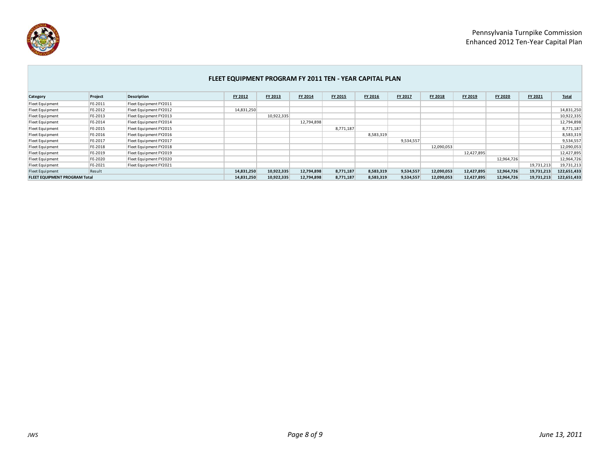

|                                      | FLEET EQUIPMENT PROGRAM FY 2011 TEN - YEAR CAPITAL PLAN |                        |            |            |            |           |           |           |            |            |            |            |              |
|--------------------------------------|---------------------------------------------------------|------------------------|------------|------------|------------|-----------|-----------|-----------|------------|------------|------------|------------|--------------|
| Category                             | Project                                                 | <b>Description</b>     | FY 2012    | FY 2013    | FY 2014    | FY 2015   | FY 2016   | FY 2017   | FY 2018    | FY 2019    | FY 2020    | FY 2021    | <b>Total</b> |
| Fleet Equipment                      | FE-2011                                                 | Fleet Equipment FY2011 |            |            |            |           |           |           |            |            |            |            |              |
| Fleet Equipment                      | FE-2012                                                 | Fleet Equipment FY2012 | 14,831,250 |            |            |           |           |           |            |            |            |            | 14,831,250   |
| Fleet Equipment                      | FE-2013                                                 | Fleet Equipment FY2013 |            | 10,922,335 |            |           |           |           |            |            |            |            | 10,922,335   |
| Fleet Equipment                      | FE-2014                                                 | Fleet Equipment FY2014 |            |            | 12,794,898 |           |           |           |            |            |            |            | 12,794,898   |
| Fleet Equipment                      | FE-2015                                                 | Fleet Equipment FY2015 |            |            |            | 8,771,187 |           |           |            |            |            |            | 8,771,187    |
| Fleet Equipment                      | FE-2016                                                 | Fleet Equipment FY2016 |            |            |            |           | 8,583,319 |           |            |            |            |            | 8,583,319    |
| Fleet Equipment                      | FE-2017                                                 | Fleet Equipment FY2017 |            |            |            |           |           | 9,534,557 |            |            |            |            | 9,534,557    |
| Fleet Equipment                      | FE-2018                                                 | Fleet Equipment FY2018 |            |            |            |           |           |           | 12,090,053 |            |            |            | 12,090,053   |
| Fleet Equipment                      | FE-2019                                                 | Fleet Equipment FY2019 |            |            |            |           |           |           |            | 12,427,895 |            |            | 12,427,895   |
| Fleet Equipment                      | FE-2020                                                 | Fleet Equipment FY2020 |            |            |            |           |           |           |            |            | 12,964,726 |            | 12,964,726   |
| Fleet Equipment                      | FE-2021                                                 | Fleet Equipment FY2021 |            |            |            |           |           |           |            |            |            | 19,731,213 | 19,731,213   |
| Fleet Equipment                      | Result                                                  |                        | 14,831,250 | 10,922,335 | 12,794,898 | 8,771,187 | 8,583,319 | 9,534,557 | 12,090,053 | 12,427,895 | 12,964,726 | 19,731,213 | 122,651,433  |
| <b>FLEET EQUIPMENT PROGRAM Total</b> |                                                         |                        | 14,831,250 | 10,922,335 | 12,794,898 | 8,771,187 | 8,583,319 | 9,534,557 | 12,090,053 | 12,427,895 | 12,964,726 | 19,731,213 | 122,651,433  |